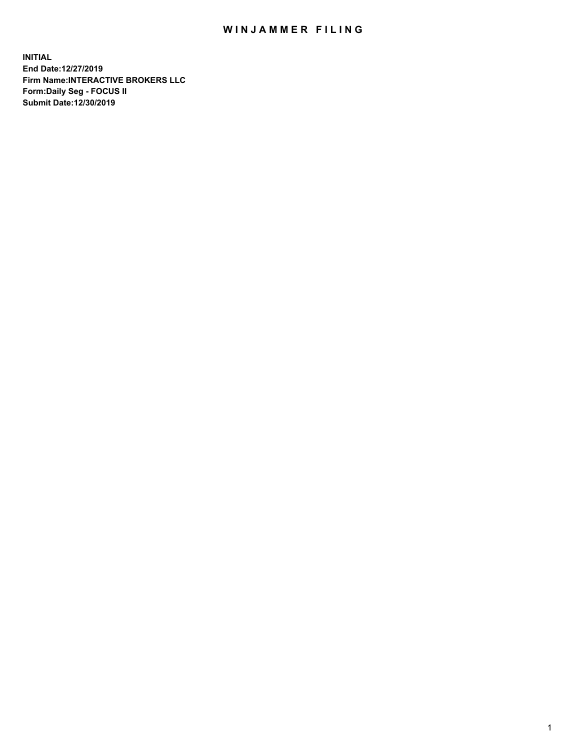## WIN JAMMER FILING

**INITIAL End Date:12/27/2019 Firm Name:INTERACTIVE BROKERS LLC Form:Daily Seg - FOCUS II Submit Date:12/30/2019**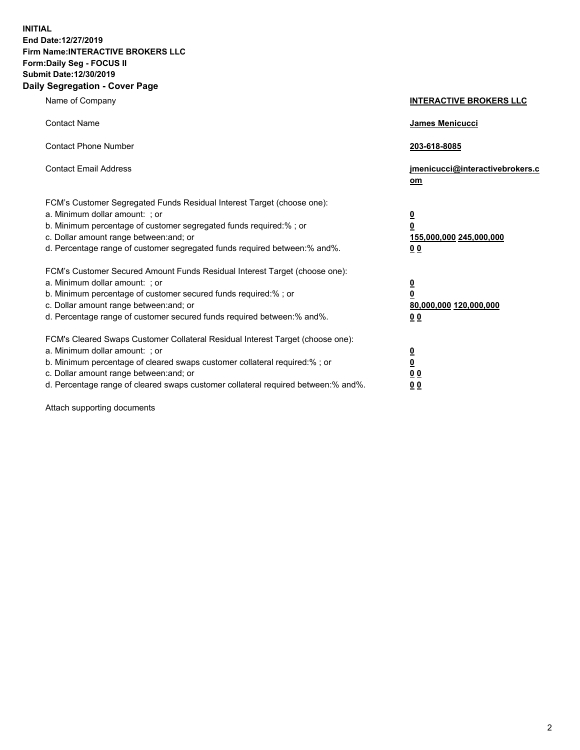**INITIAL End Date:12/27/2019 Firm Name:INTERACTIVE BROKERS LLC Form:Daily Seg - FOCUS II Submit Date:12/30/2019 Daily Segregation - Cover Page**

| Name of Company                                                                                                                                                                                                                                                                                                                | <b>INTERACTIVE BROKERS LLC</b>                                                                 |
|--------------------------------------------------------------------------------------------------------------------------------------------------------------------------------------------------------------------------------------------------------------------------------------------------------------------------------|------------------------------------------------------------------------------------------------|
| <b>Contact Name</b>                                                                                                                                                                                                                                                                                                            | James Menicucci                                                                                |
| <b>Contact Phone Number</b>                                                                                                                                                                                                                                                                                                    | 203-618-8085                                                                                   |
| <b>Contact Email Address</b>                                                                                                                                                                                                                                                                                                   | jmenicucci@interactivebrokers.c<br>om                                                          |
| FCM's Customer Segregated Funds Residual Interest Target (choose one):<br>a. Minimum dollar amount: : or<br>b. Minimum percentage of customer segregated funds required:% ; or<br>c. Dollar amount range between: and; or<br>d. Percentage range of customer segregated funds required between:% and%.                         | $\overline{\mathbf{0}}$<br>$\overline{\mathbf{0}}$<br>155,000,000 245,000,000<br>00            |
| FCM's Customer Secured Amount Funds Residual Interest Target (choose one):<br>a. Minimum dollar amount: ; or<br>b. Minimum percentage of customer secured funds required:%; or<br>c. Dollar amount range between: and; or<br>d. Percentage range of customer secured funds required between:% and%.                            | $\overline{\mathbf{0}}$<br>$\overline{\mathbf{0}}$<br>80,000,000 120,000,000<br>0 <sub>0</sub> |
| FCM's Cleared Swaps Customer Collateral Residual Interest Target (choose one):<br>a. Minimum dollar amount: ; or<br>b. Minimum percentage of cleared swaps customer collateral required:% ; or<br>c. Dollar amount range between: and; or<br>d. Percentage range of cleared swaps customer collateral required between:% and%. | $\frac{0}{0}$<br>0 <sub>0</sub><br>0 <sub>0</sub>                                              |

Attach supporting documents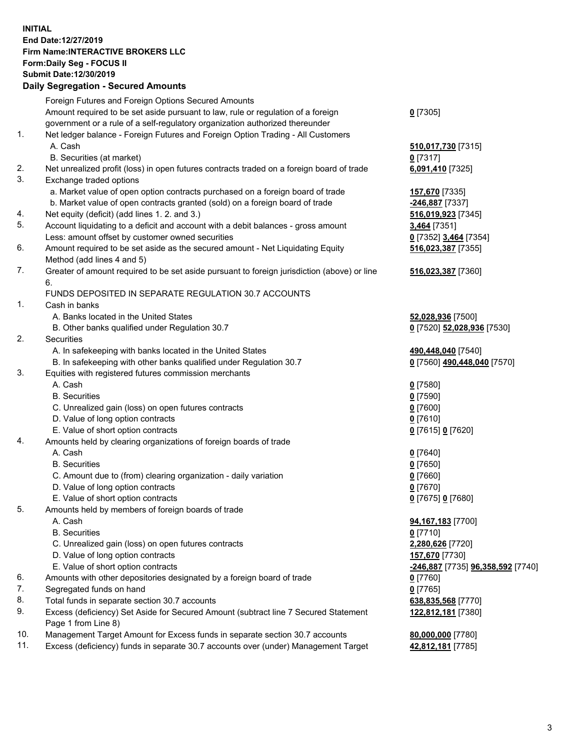## **INITIAL End Date:12/27/2019 Firm Name:INTERACTIVE BROKERS LLC Form:Daily Seg - FOCUS II Submit Date:12/30/2019 Daily Segregation - Secured Amounts**

|                | Daily Segregation - Secured Amounts                                                                  |                                   |
|----------------|------------------------------------------------------------------------------------------------------|-----------------------------------|
|                | Foreign Futures and Foreign Options Secured Amounts                                                  |                                   |
|                | Amount required to be set aside pursuant to law, rule or regulation of a foreign                     | $0$ [7305]                        |
|                | government or a rule of a self-regulatory organization authorized thereunder                         |                                   |
| $\mathbf{1}$ . | Net ledger balance - Foreign Futures and Foreign Option Trading - All Customers                      |                                   |
|                | A. Cash                                                                                              | 510,017,730 [7315]                |
|                | B. Securities (at market)                                                                            | $0$ [7317]                        |
| 2.             | Net unrealized profit (loss) in open futures contracts traded on a foreign board of trade            | 6,091,410 [7325]                  |
| 3.             | Exchange traded options                                                                              |                                   |
|                | a. Market value of open option contracts purchased on a foreign board of trade                       | 157,670 [7335]                    |
|                | b. Market value of open contracts granted (sold) on a foreign board of trade                         | -246,887 [7337]                   |
| 4.             | Net equity (deficit) (add lines 1. 2. and 3.)                                                        | 516,019,923 [7345]                |
| 5.             | Account liquidating to a deficit and account with a debit balances - gross amount                    | 3,464 [7351]                      |
|                | Less: amount offset by customer owned securities                                                     | 0 [7352] 3,464 [7354]             |
| 6.             | Amount required to be set aside as the secured amount - Net Liquidating Equity                       | 516,023,387 [7355]                |
|                | Method (add lines 4 and 5)                                                                           |                                   |
| 7.             | Greater of amount required to be set aside pursuant to foreign jurisdiction (above) or line          | 516,023,387 [7360]                |
|                | 6.                                                                                                   |                                   |
|                | FUNDS DEPOSITED IN SEPARATE REGULATION 30.7 ACCOUNTS                                                 |                                   |
| 1.             | Cash in banks                                                                                        |                                   |
|                | A. Banks located in the United States                                                                | 52,028,936 [7500]                 |
|                | B. Other banks qualified under Regulation 30.7                                                       | 0 [7520] 52,028,936 [7530]        |
| 2.             | <b>Securities</b>                                                                                    |                                   |
|                | A. In safekeeping with banks located in the United States                                            | 490,448,040 [7540]                |
|                | B. In safekeeping with other banks qualified under Regulation 30.7                                   | 0 [7560] 490,448,040 [7570]       |
| 3.             | Equities with registered futures commission merchants                                                |                                   |
|                | A. Cash                                                                                              | $0$ [7580]                        |
|                | <b>B.</b> Securities                                                                                 | $0$ [7590]                        |
|                | C. Unrealized gain (loss) on open futures contracts                                                  | $0$ [7600]                        |
|                | D. Value of long option contracts                                                                    | $0$ [7610]                        |
|                | E. Value of short option contracts                                                                   | 0 [7615] 0 [7620]                 |
| 4.             | Amounts held by clearing organizations of foreign boards of trade<br>A. Cash                         |                                   |
|                | <b>B.</b> Securities                                                                                 | $0$ [7640]                        |
|                |                                                                                                      | $0$ [7650]<br>$0$ [7660]          |
|                | C. Amount due to (from) clearing organization - daily variation<br>D. Value of long option contracts | $0$ [7670]                        |
|                | E. Value of short option contracts                                                                   | 0 [7675] 0 [7680]                 |
| 5.             | Amounts held by members of foreign boards of trade                                                   |                                   |
|                | A. Cash                                                                                              | 94,167,183 [7700]                 |
|                | <b>B.</b> Securities                                                                                 | $0$ [7710]                        |
|                | C. Unrealized gain (loss) on open futures contracts                                                  | 2,280,626 [7720]                  |
|                | D. Value of long option contracts                                                                    | 157,670 [7730]                    |
|                | E. Value of short option contracts                                                                   | -246,887 [7735] 96,358,592 [7740] |
| 6.             | Amounts with other depositories designated by a foreign board of trade                               | $0$ [7760]                        |
| 7.             | Segregated funds on hand                                                                             | $0$ [7765]                        |
| 8.             | Total funds in separate section 30.7 accounts                                                        | 638,835,568 [7770]                |
| 9.             | Excess (deficiency) Set Aside for Secured Amount (subtract line 7 Secured Statement                  | 122,812,181 [7380]                |
|                | Page 1 from Line 8)                                                                                  |                                   |
| 10.            | Management Target Amount for Excess funds in separate section 30.7 accounts                          | 80,000,000 [7780]                 |
| 11.            | Excess (deficiency) funds in separate 30.7 accounts over (under) Management Target                   | 42,812,181 [7785]                 |
|                |                                                                                                      |                                   |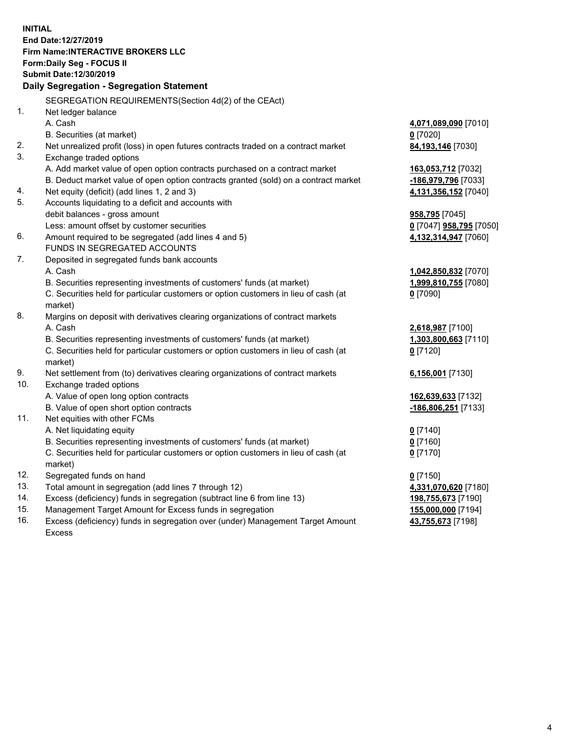**INITIAL End Date:12/27/2019 Firm Name:INTERACTIVE BROKERS LLC Form:Daily Seg - FOCUS II Submit Date:12/30/2019 Daily Segregation - Segregation Statement** SEGREGATION REQUIREMENTS(Section 4d(2) of the CEAct) 1. Net ledger balance A. Cash **4,071,089,090** [7010] B. Securities (at market) **0** [7020] 2. Net unrealized profit (loss) in open futures contracts traded on a contract market **84,193,146** [7030] 3. Exchange traded options A. Add market value of open option contracts purchased on a contract market **163,053,712** [7032] B. Deduct market value of open option contracts granted (sold) on a contract market **-186,979,796** [7033] 4. Net equity (deficit) (add lines 1, 2 and 3) **4,131,356,152** [7040] 5. Accounts liquidating to a deficit and accounts with debit balances - gross amount **958,795** [7045] Less: amount offset by customer securities **0** [7047] **958,795** [7050] 6. Amount required to be segregated (add lines 4 and 5) **4,132,314,947** [7060] FUNDS IN SEGREGATED ACCOUNTS 7. Deposited in segregated funds bank accounts A. Cash **1,042,850,832** [7070] B. Securities representing investments of customers' funds (at market) **1,999,810,755** [7080] C. Securities held for particular customers or option customers in lieu of cash (at market) **0** [7090] 8. Margins on deposit with derivatives clearing organizations of contract markets A. Cash **2,618,987** [7100] B. Securities representing investments of customers' funds (at market) **1,303,800,663** [7110] C. Securities held for particular customers or option customers in lieu of cash (at market) **0** [7120] 9. Net settlement from (to) derivatives clearing organizations of contract markets **6,156,001** [7130] 10. Exchange traded options A. Value of open long option contracts **162,639,633** [7132] B. Value of open short option contracts **-186,806,251** [7133] 11. Net equities with other FCMs A. Net liquidating equity **0** [7140] B. Securities representing investments of customers' funds (at market) **0** [7160] C. Securities held for particular customers or option customers in lieu of cash (at market) **0** [7170] 12. Segregated funds on hand **0** [7150] 13. Total amount in segregation (add lines 7 through 12) **4,331,070,620** [7180] 14. Excess (deficiency) funds in segregation (subtract line 6 from line 13) **198,755,673** [7190] 15. Management Target Amount for Excess funds in segregation **155,000,000** [7194] **43,755,673** [7198]

16. Excess (deficiency) funds in segregation over (under) Management Target Amount Excess